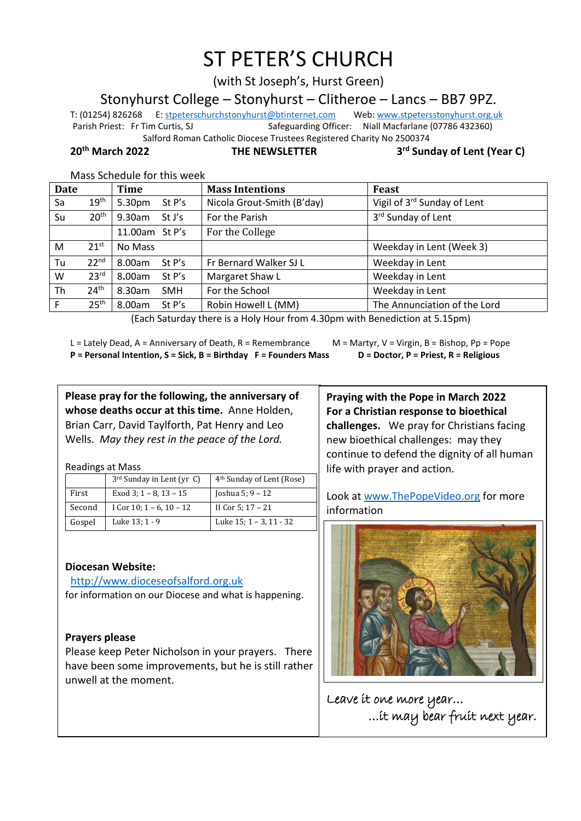# ST PETER'S CHURCH

(with St Joseph's, Hurst Green)

Stonyhurst College – Stonyhurst – Clitheroe – Lancs – BB7 9PZ.

T: (01254) 826268 E[: stpeterschurchstonyhurst@btinternet.com](mailto:stpeterschurchstonyhurst@btinternet.com) Web[: www.stpetersstonyhurst.org.uk](http://www.stpetersstonyhurst.org.uk/) Parish Priest: Fr Tim Curtis, SJ Safeguarding Officer: Niall Macfarlane (07786 432360) Salford Roman Catholic Diocese Trustees Registered Charity No 2500374

**20th March 2022 THE NEWSLETTER 3**

**rd Sunday of Lent (Year C)**

Mass Schedule for this week

| <b>Date</b> |                  | Time                 | <b>Mass Intentions</b>     | Feast                        |
|-------------|------------------|----------------------|----------------------------|------------------------------|
| Sa          | 19 <sup>th</sup> | 5.30pm<br>St $P's$   | Nicola Grout-Smith (B'day) | Vigil of 3rd Sunday of Lent  |
| Su          | 20 <sup>th</sup> | 9.30am<br>St J's     | For the Parish             | 3rd Sunday of Lent           |
|             |                  | 11.00am St P's       | For the College            |                              |
| M           | $21^{st}$        | No Mass              |                            | Weekday in Lent (Week 3)     |
| Tu          | 22 <sup>nd</sup> | 8.00am<br>St P's     | Fr Bernard Walker SJ L     | Weekday in Lent              |
| W           | 23 <sup>rd</sup> | 8.00am<br>St P's     | Margaret Shaw L            | Weekday in Lent              |
| Th          | 24 <sup>th</sup> | 8.30am<br><b>SMH</b> | For the School             | Weekday in Lent              |
| F           | 25 <sup>th</sup> | 8.00am<br>St $P's$   | Robin Howell L (MM)        | The Annunciation of the Lord |

(Each Saturday there is a Holy Hour from 4.30pm with Benediction at 5.15pm)

L = Lately Dead, A = Anniversary of Death, R = Remembrance M = Martyr, V = Virgin, B = Bishop, Pp = Pope **P = Personal Intention, S = Sick, B = Birthday F = Founders Mass D = Doctor, P = Priest, R = Religious**

**Please pray for the following, the anniversary of whose deaths occur at this time.** Anne Holden, Brian Carr, David Taylforth, Pat Henry and Leo Wells. *May they rest in the peace of the Lord.*

Readings at Mass

|        | $3rd$ Sunday in Lent (yr C) | 4 <sup>th</sup> Sunday of Lent (Rose) |
|--------|-----------------------------|---------------------------------------|
| First  | Exod 3; $1 - 8$ , $13 - 15$ | Joshua 5; 9 – 12                      |
| Second | I Cor $10; 1 - 6, 10 - 12$  | II Cor 5: 17 - 21                     |
| Gospel | Luke 13; 1 - 9              | Luke 15; 1 - 3, 11 - 32               |

## **Diocesan Website:**

http://www.dioceseofsalford.org.uk for information on our Diocese and what is happening.

## **Prayers please**

Please keep Peter Nicholson in your prayers. There have been some improvements, but he is still rather unwell at the moment.

**Praying with the Pope in March 2022 For a Christian response to bioethical challenges.** We pray for Christians facing new bioethical challenges: may they continue to defend the dignity of all human life with prayer and action.

Look at www.ThePopeVideo.org for more information



Leave it one more year… …it may bear fruit next year.  $\overline{a}$